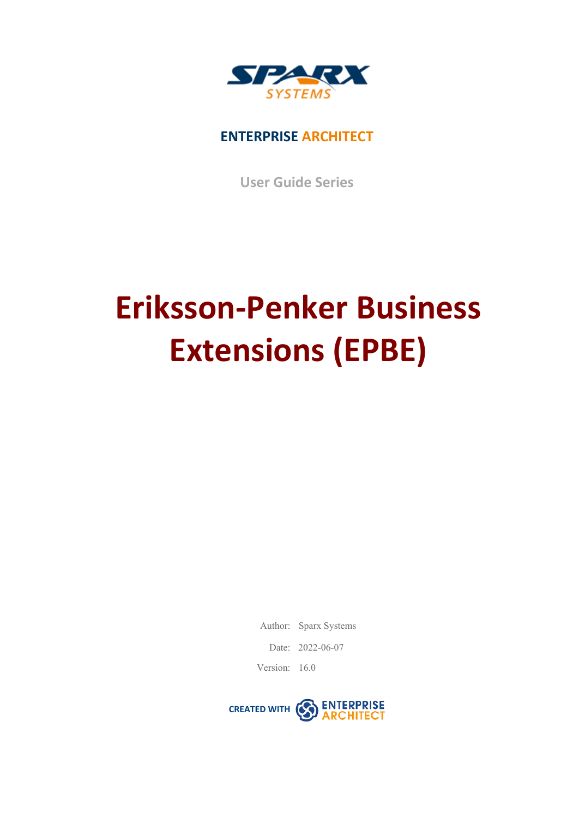

#### **ENTERPRISE ARCHITECT**

**User Guide Series**

# **Eriksson-Penker Business Extensions (EPBE)**

Author: Sparx Systems

Date: 2022-06-07

Version: 16.0

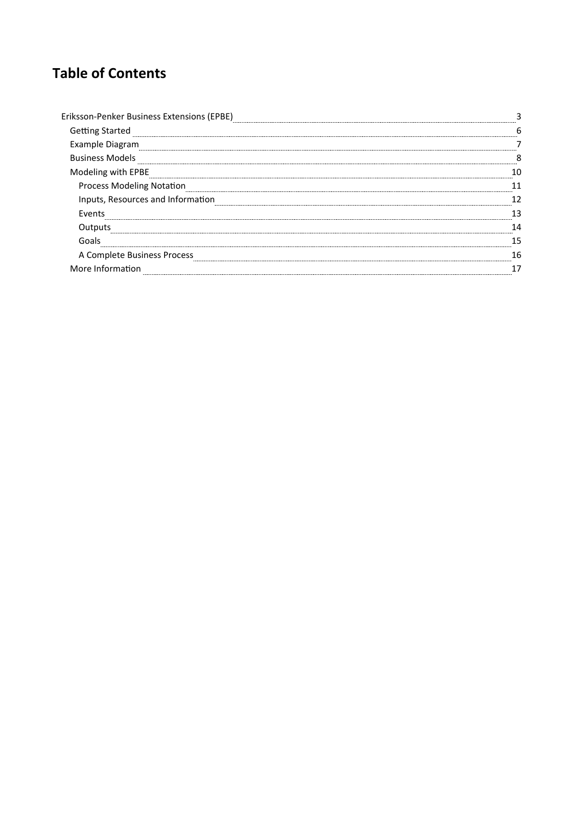### **Table of Contents**

| <b>Getting Started</b>            |  |
|-----------------------------------|--|
| imple Diagram                     |  |
| <b>Business Models</b>            |  |
| Modeling with EPBE                |  |
| <b>Process Modeling Notation</b>  |  |
| Inputs, Resources and Information |  |
| Events                            |  |
| Outputs                           |  |
|                                   |  |
| A Complete Business Process       |  |
| re Information<br>Mc              |  |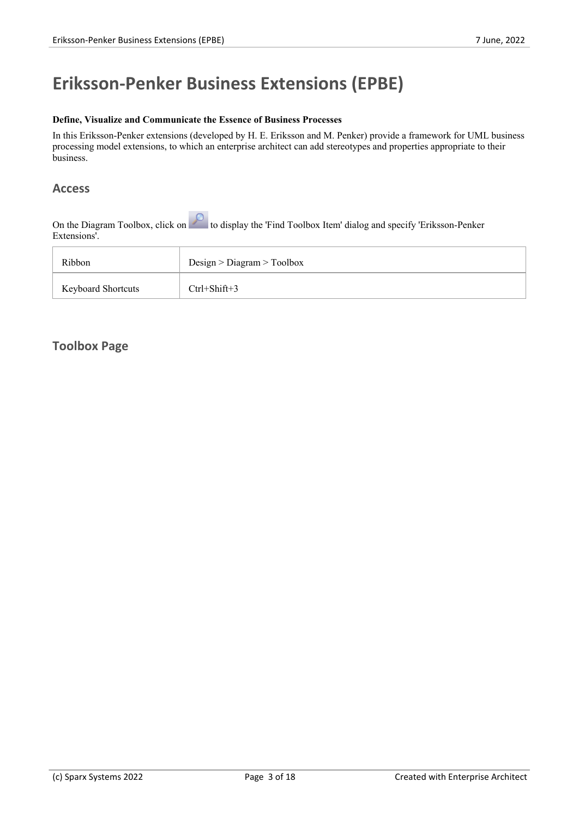### **Eriksson-Penker Business Extensions (EPBE)**

#### **Define, Visualize and Communicate the Essence of Business Processes**

In this Eriksson-Penker extensions (developed by H. E. Eriksson and M. Penker) provide a framework for UML business processing model extensions, to which an enterprise architect can add stereotypes and properties appropriate to their business.

#### **Access**

On the Diagram Toolbox, click on the Diagram Toolbox, click on the display the 'Find Toolbox Item' dialog and specify 'Eriksson-Penker Extensions'.

| Ribbon                    | Design > Diagram > Toolbox |
|---------------------------|----------------------------|
| <b>Keyboard Shortcuts</b> | $Ctrl + Shift + 3$         |

#### **Toolbox Page**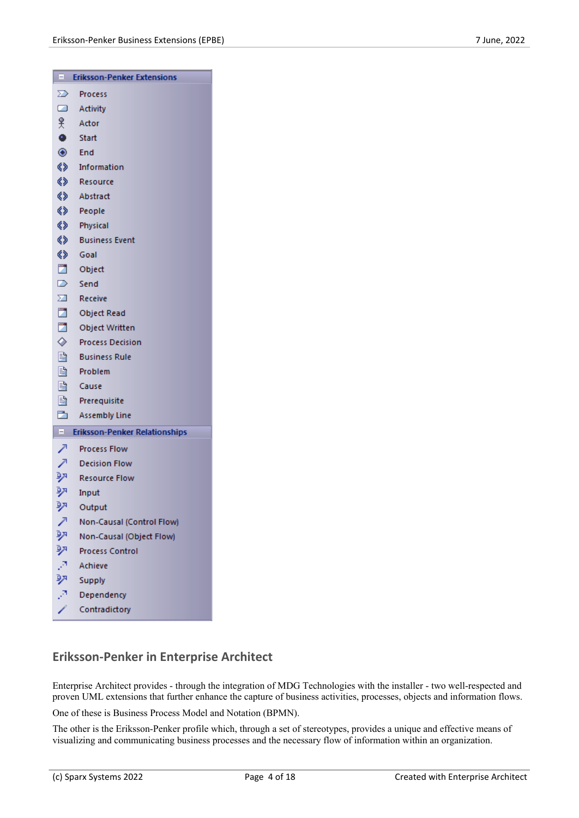|                                 | El Eriksson-Penker Extensions |  |
|---------------------------------|-------------------------------|--|
| ➢                               | Process                       |  |
| $\Box$                          | Activity                      |  |
| 옷.                              | Actor                         |  |
| $\bullet$                       | Start                         |  |
|                                 | $\circledcirc$ End            |  |
|                                 | <>> Information               |  |
|                                 | «> Resource                   |  |
|                                 | <> Abstract                   |  |
|                                 | <b>《》</b> People              |  |
|                                 | <>> Physical                  |  |
|                                 | <b>《》</b> Business Event      |  |
| ◈                               | - Goal                        |  |
|                                 | Object                        |  |
| $\triangleright$                | Send                          |  |
| $\Sigma$                        | Receive                       |  |
|                                 | Object Read                   |  |
|                                 | Object Written                |  |
|                                 | ♦ Process Decision            |  |
| B.                              | <b>Business Rule</b>          |  |
| B.                              | Problem                       |  |
|                                 | lause                         |  |
|                                 | <b>B</b> Prerequisite         |  |
| D.                              | <b>Assembly Line</b>          |  |
| E Eriksson-Penker Relationships |                               |  |
| ↗                               | <b>Process Flow</b>           |  |
| ↗                               | <b>Decision Flow</b>          |  |
| 呯                               | <b>Resource Flow</b>          |  |
| 驷                               | Input                         |  |
| 卵                               | Output                        |  |
| ↗                               | Non-Causal (Control Flow)     |  |
| 驷                               | Non-Causal (Object Flow)      |  |
| 驱                               | <b>Process Control</b>        |  |
|                                 | Achieve                       |  |
|                                 | Supply                        |  |
|                                 | Dependency                    |  |
|                                 | ontradictor                   |  |

#### **Eriksson-Penker in Enterprise Architect**

Enterprise Architect provides - through the integration of MDG Technologies with the installer - two well-respected and proven UML extensions that further enhance the capture of business activities, processes, objects and information flows.

One of these is Business Process Model and Notation (BPMN).

The other is the Eriksson-Penker profile which, through a set of stereotypes, provides a unique and effective means of visualizing and communicating business processes and the necessary flow of information within an organization.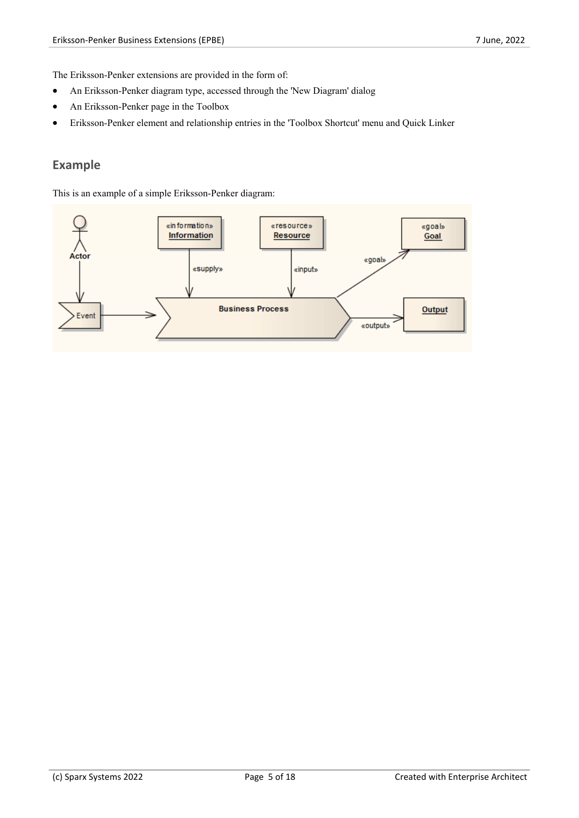The Eriksson-Penker extensions are provided in the form of:

- · An Eriksson-Penker diagram type, accessed through the 'New Diagram' dialog
- An Eriksson-Penker page in the Toolbox
- · Eriksson-Penker element and relationship entries in the 'Toolbox Shortcut' menu and Quick Linker

#### **Example**

This is an example of a simple Eriksson-Penker diagram:

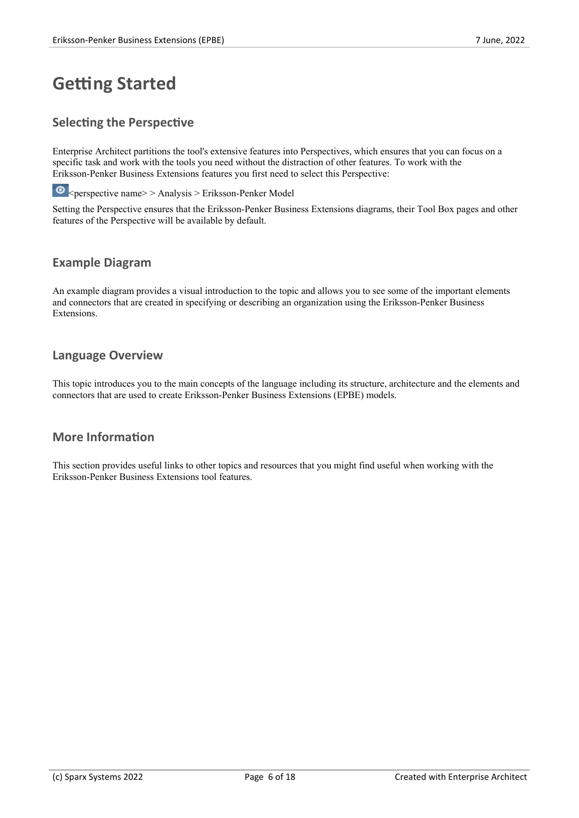### **Getting Started**

#### **Selecting the Perspective**

Enterprise Architect partitions the tool's extensive features into Perspectives, which ensures that you can focus on a specific task and work with the tools you need without the distraction of other features. To work with the Eriksson-Penker Business Extensions features you first need to select this Perspective:

 $\bullet$  <perspective name> > Analysis > Eriksson-Penker Model

Setting the Perspective ensures that the Eriksson-Penker Business Extensions diagrams, their Tool Box pages and other features of the Perspective will be available by default.

#### **Example Diagram**

An example diagram provides a visual introduction to the topic and allows you to see some of the important elements and connectors that are created in specifying or describing an organization using the Eriksson-Penker Business Extensions.

#### **Language Overview**

This topic introduces you to the main concepts of the language including its structure, architecture and the elements and connectors that are used to create Eriksson-Penker Business Extensions (EPBE) models.

#### **More Information**

This section provides useful links to other topics and resources that you might find useful when working with the Eriksson-Penker Business Extensions tool features.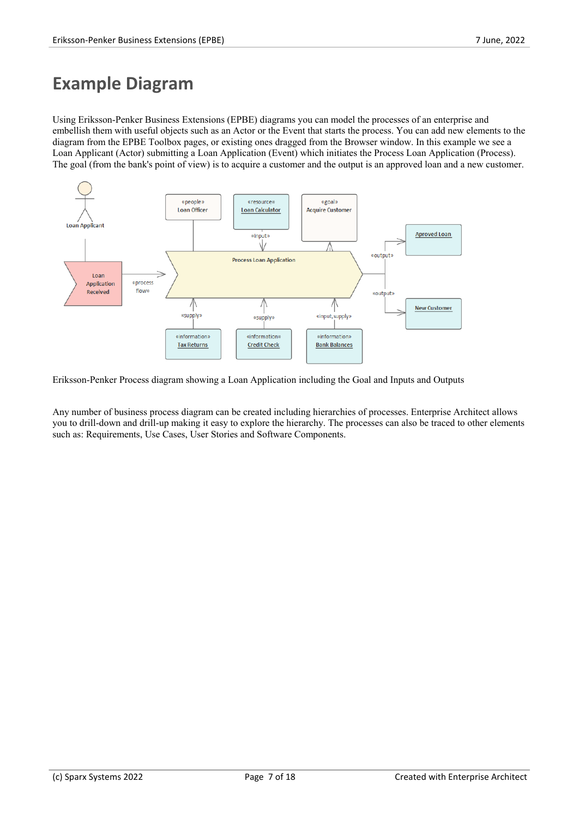### **Example Diagram**

Using Eriksson-Penker Business Extensions (EPBE) diagrams you can model the processes of an enterprise and embellish them with useful objects such as an Actor or the Event that starts the process. You can add new elements to the diagram from the EPBE Toolbox pages, or existing ones dragged from the Browser window. In this example we see a Loan Applicant (Actor) submitting a Loan Application (Event) which initiates the Process Loan Application (Process). The goal (from the bank's point of view) is to acquire a customer and the outputis an approved loan and a new customer.



Eriksson-Penker Process diagram showing a Loan Application including the Goal and Inputs and Outputs

Any number of business process diagram can be created including hierarchies of processes. Enterprise Architect allows you to drill-down and drill-up making it easy to explore the hierarchy. The processes can also be traced to other elements such as: Requirements, Use Cases, User Stories and Software Components.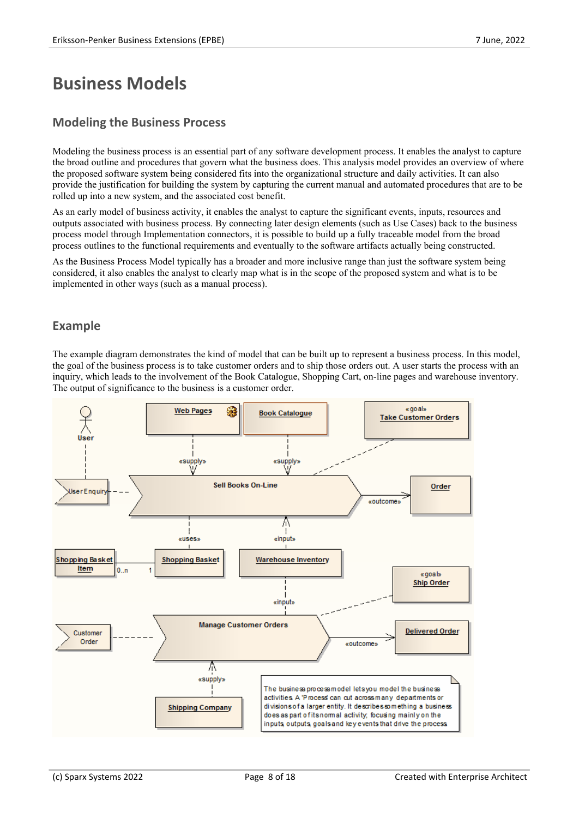### **Business Models**

#### **Modeling the Business Process**

Modeling the business process is an essential part of any software development process. It enables the analyst to capture the broad outline and procedures that govern what the business does. This analysis model provides an overview of where the proposed software system being considered fits into the organizational structure and daily activities. It can also provide the justification for building the system by capturing the current manual and automated procedures that are to be rolled up into a new system, and the associated cost benefit.

As an early model of business activity, it enables the analyst to capture the significant events, inputs, resources and outputs associated with business process. By connecting later design elements (such as Use Cases) back to the business process model through Implementation connectors, it is possible to build up a fully traceable model from the broad process outlines to the functional requirements and eventually to the software artifacts actually being constructed.

As the Business Process Model typically has a broader and more inclusive range than just the software system being considered, it also enables the analyst to clearly map what is in the scope of the proposed system and what is to be implemented in other ways (such as a manual process).

#### **Example**

The example diagram demonstrates the kind of model that can be built up to represent a business process. In this model, the goal of the business process is to take customer orders and to ship those orders out. A user starts the process with an inquiry, which leads to the involvement of the Book Catalogue, Shopping Cart, on-line pages and warehouse inventory. The output of significance to the business is a customer order.

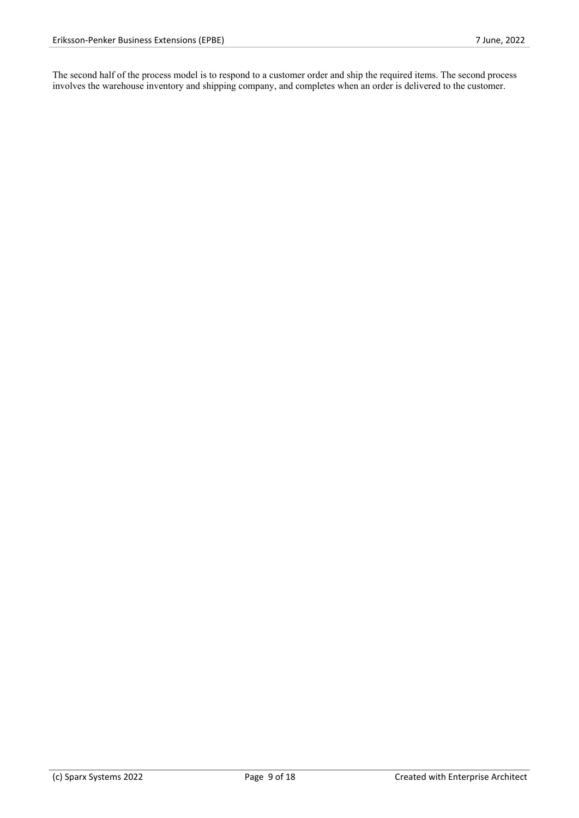The second half of the process model is to respond to a customer order and ship the required items. The second process involves the warehouse inventory and shipping company, and completes when an order is delivered to the customer.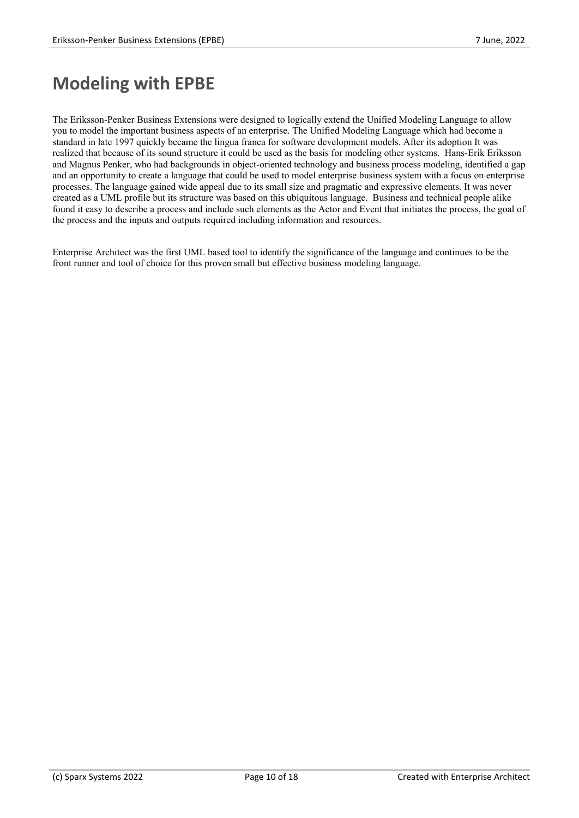### **Modeling with EPBE**

The Eriksson-Penker Business Extensions were designed to logically extend the Unified Modeling Language to allow you to model the important business aspects of an enterprise. The Unified Modeling Language which had become a standard in late 1997 quickly became the lingua franca for software development models. After its adoption It was realized that because of its sound structure it could be used as the basis for modeling other systems. Hans-Erik Eriksson and Magnus Penker, who had backgrounds in object-oriented technology and business process modeling, identified a gap and an opportunity to create a language that could be used to model enterprise business system with a focus on enterprise processes. The language gained wide appeal due to its small size and pragmatic and expressive elements. It was never created as a UML profile but its structure was based on this ubiquitous language. Business and technical people alike found it easy to describe a process and include such elements as the Actor and Event that initiates the process, the goal of the process and the inputs and outputs required including information and resources.

Enterprise Architect was the first UML based tool to identify the significance of the language and continues to be the front runner and tool of choice for this proven small but effective business modeling language.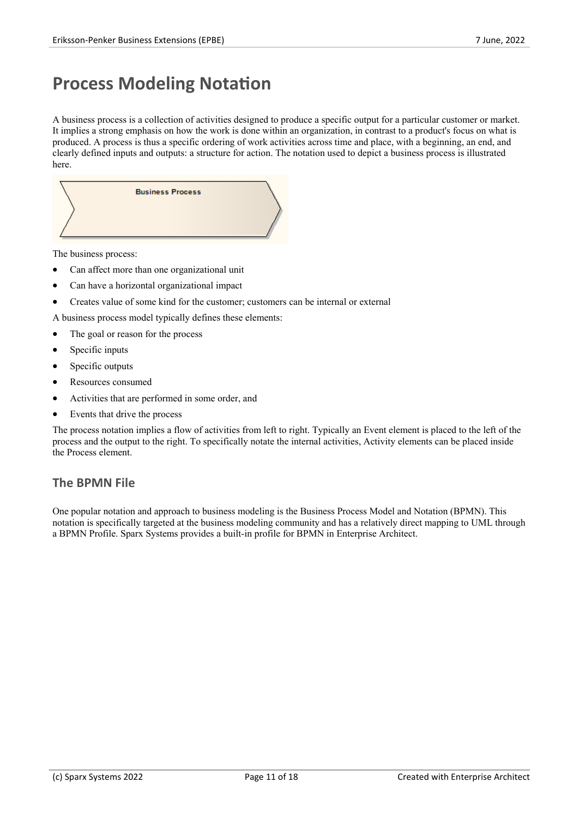### **Process Modeling Notation**

A business process is a collection of activities designed to produce a specific output for a particular customer or market. It implies a strong emphasis on how the work is done within an organization, in contrast to a product's focus on what is produced. A process is thus a specific ordering of work activities across time and place, with a beginning, an end, and clearly defined inputs and outputs: a structure for action. The notation used to depict a business process is illustrated here.



The business process:

- Can affect more than one organizational unit
- · Can have a horizontal organizational impact
- · Creates value of some kind for the customer; customers can be internal or external

A business process model typically defines these elements:

- The goal or reason for the process
- Specific inputs
- Specific outputs
- Resources consumed
- Activities that are performed in some order, and
- Events that drive the process

The process notation implies a flow of activities from left to right. Typically an Event element is placed to the left of the process and the output to the right. To specifically notate the internal activities, Activity elements can be placed inside the Process element.

#### **The BPMN File**

One popular notation and approach to business modeling is the Business Process Model and Notation (BPMN). This notation is specifically targeted at the business modeling community and has a relatively direct mapping to UML through a BPMN Profile. Sparx Systems provides a built-in profile for BPMN in Enterprise Architect.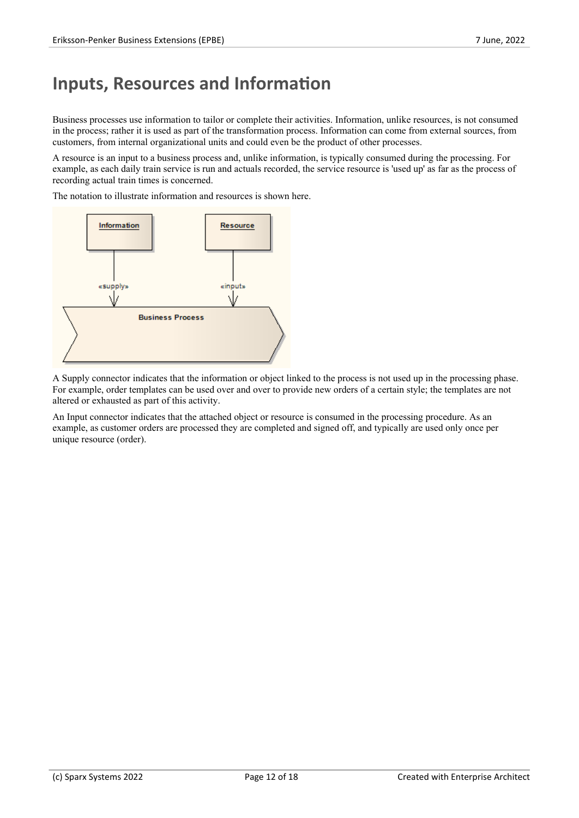### **Inputs, Resources and Information**

Business processes use information to tailor or complete their activities. Information, unlike resources, is not consumed in the process; rather it is used as part of the transformation process. Information can come from external sources, from customers, from internal organizational units and could even be the product of other processes.

A resource is an input to a business process and, unlike information, is typically consumed during the processing. For example, as each daily train service is run and actuals recorded, the service resource is 'used up' as far as the process of recording actual train times is concerned.

The notation to illustrate information and resources is shown here.



A Supply connector indicates that the information or object linked to the process is not used up in the processing phase. For example, order templates can be used over and over to provide new orders of a certain style; the templates are not altered or exhausted as part of this activity.

An Input connector indicates that the attached object or resource is consumed in the processing procedure. As an example, as customer orders are processed they are completed and signed off, and typically are used only once per unique resource (order).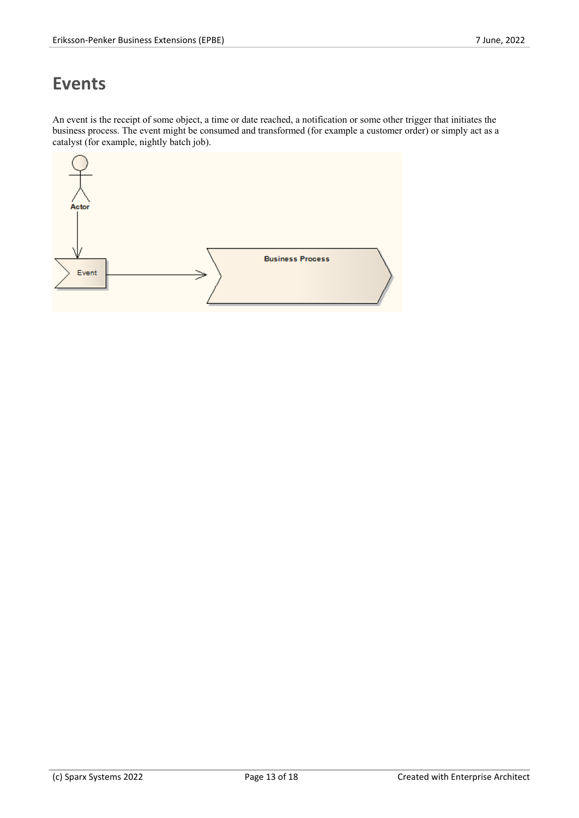### **Events**

An event is the receipt of some object, a time or date reached, a notification or some other trigger that initiates the business process. The event might be consumed and transformed (for example a customer order) or simply act as a catalyst (for example, nightly batch job).

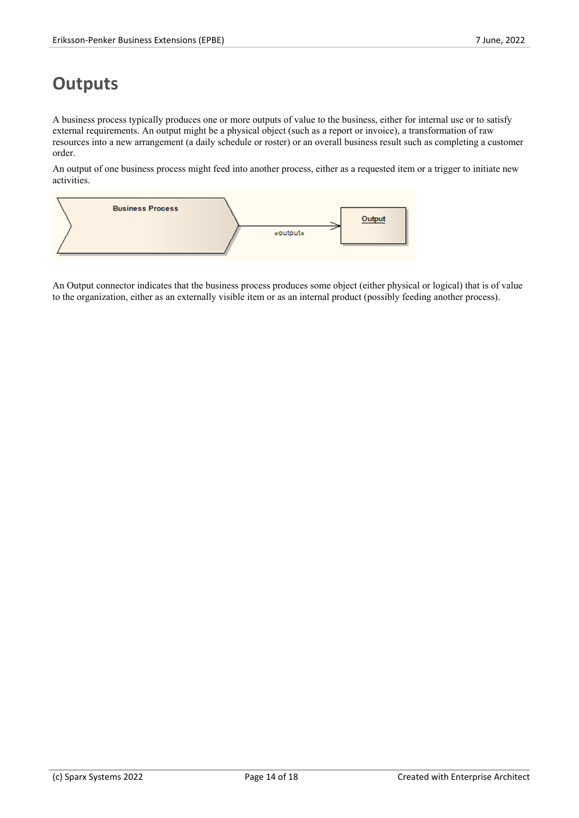### **Outputs**

A business process typically produces one or more outputs ofvalue to the business, either for internal use or to satisfy external requirements. An output might be a physical object (such as a report or invoice), a transformation of raw resources into a new arrangement (a daily schedule or roster) or an overall business result such as completing a customer order.

An output of one business process might feed into another process, either as a requested item or a trigger to initiate new activities.



An Output connector indicates that the business process produces some object (either physical or logical) that is of value to the organization, either as an externally visible item or as an internal product (possibly feeding another process).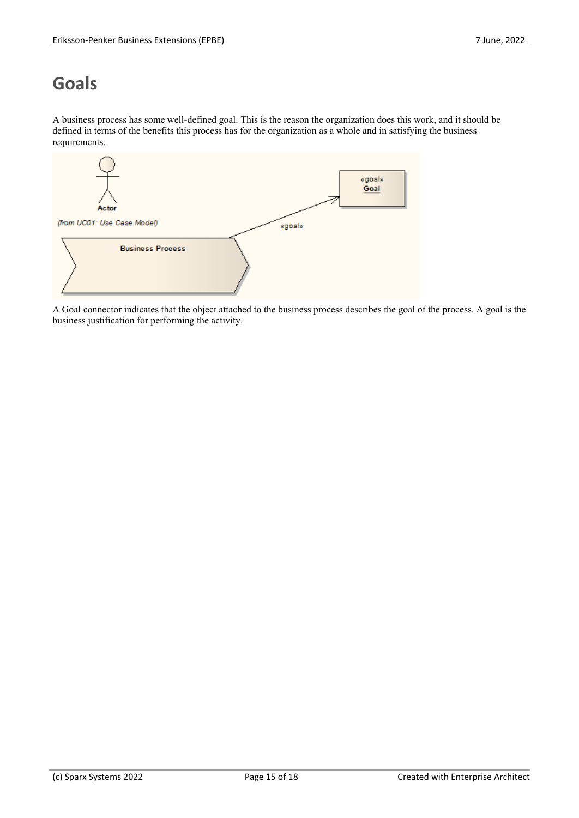# **Goals**

A business process has some well-defined goal. This is the reason the organization doesthis work, and it should be defined in terms of the benefits this process has for the organization as a whole and in satisfying the business requirements.



A Goal connector indicates that the object attached to the business process describes the goal of the process. A goal is the business justification for performing the activity.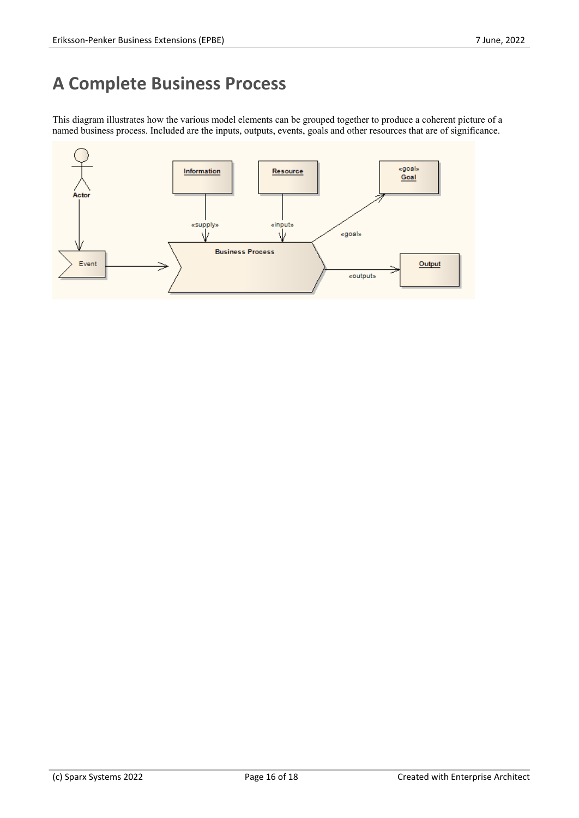# **A Complete Business Process**

This diagram illustrates how the various model elements can be grouped together to produce a coherent picture of a named business process. Included are the inputs, outputs, events, goals and other resources that are of significance.